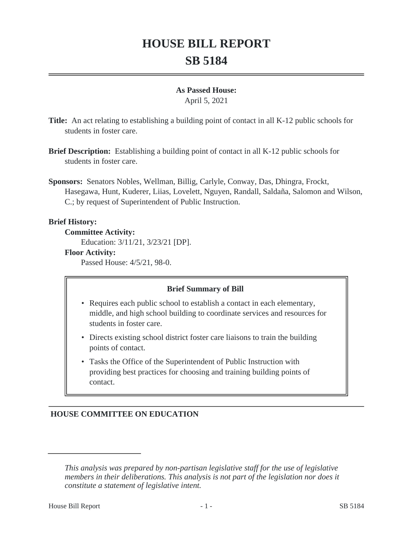# **HOUSE BILL REPORT SB 5184**

#### **As Passed House:**

April 5, 2021

**Title:** An act relating to establishing a building point of contact in all K-12 public schools for students in foster care.

- **Brief Description:** Establishing a building point of contact in all K-12 public schools for students in foster care.
- **Sponsors:** Senators Nobles, Wellman, Billig, Carlyle, Conway, Das, Dhingra, Frockt, Hasegawa, Hunt, Kuderer, Liias, Lovelett, Nguyen, Randall, Saldaña, Salomon and Wilson, C.; by request of Superintendent of Public Instruction.

## **Brief History:**

**Committee Activity:**

Education: 3/11/21, 3/23/21 [DP].

#### **Floor Activity:**

Passed House: 4/5/21, 98-0.

#### **Brief Summary of Bill**

- Requires each public school to establish a contact in each elementary, middle, and high school building to coordinate services and resources for students in foster care.
- Directs existing school district foster care liaisons to train the building points of contact.
- Tasks the Office of the Superintendent of Public Instruction with providing best practices for choosing and training building points of contact.

# **HOUSE COMMITTEE ON EDUCATION**

*This analysis was prepared by non-partisan legislative staff for the use of legislative members in their deliberations. This analysis is not part of the legislation nor does it constitute a statement of legislative intent.*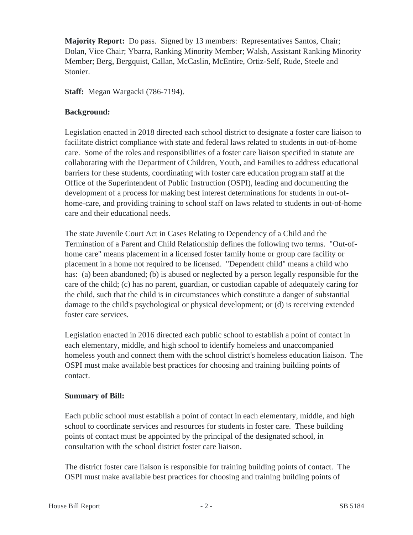**Majority Report:** Do pass. Signed by 13 members: Representatives Santos, Chair; Dolan, Vice Chair; Ybarra, Ranking Minority Member; Walsh, Assistant Ranking Minority Member; Berg, Bergquist, Callan, McCaslin, McEntire, Ortiz-Self, Rude, Steele and Stonier.

**Staff:** Megan Wargacki (786-7194).

## **Background:**

Legislation enacted in 2018 directed each school district to designate a foster care liaison to facilitate district compliance with state and federal laws related to students in out-of-home care. Some of the roles and responsibilities of a foster care liaison specified in statute are collaborating with the Department of Children, Youth, and Families to address educational barriers for these students, coordinating with foster care education program staff at the Office of the Superintendent of Public Instruction (OSPI), leading and documenting the development of a process for making best interest determinations for students in out-ofhome-care, and providing training to school staff on laws related to students in out-of-home care and their educational needs.

The state Juvenile Court Act in Cases Relating to Dependency of a Child and the Termination of a Parent and Child Relationship defines the following two terms. "Out-ofhome care" means placement in a licensed foster family home or group care facility or placement in a home not required to be licensed. "Dependent child" means a child who has: (a) been abandoned; (b) is abused or neglected by a person legally responsible for the care of the child; (c) has no parent, guardian, or custodian capable of adequately caring for the child, such that the child is in circumstances which constitute a danger of substantial damage to the child's psychological or physical development; or (d) is receiving extended foster care services.

Legislation enacted in 2016 directed each public school to establish a point of contact in each elementary, middle, and high school to identify homeless and unaccompanied homeless youth and connect them with the school district's homeless education liaison. The OSPI must make available best practices for choosing and training building points of contact.

#### **Summary of Bill:**

Each public school must establish a point of contact in each elementary, middle, and high school to coordinate services and resources for students in foster care. These building points of contact must be appointed by the principal of the designated school, in consultation with the school district foster care liaison.

The district foster care liaison is responsible for training building points of contact. The OSPI must make available best practices for choosing and training building points of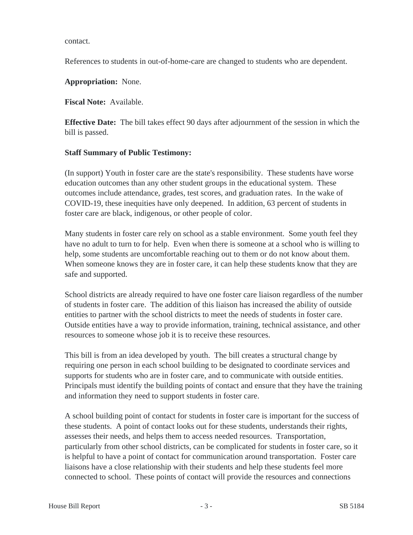contact.

References to students in out-of-home-care are changed to students who are dependent.

**Appropriation:** None.

**Fiscal Note:** Available.

**Effective Date:** The bill takes effect 90 days after adjournment of the session in which the bill is passed.

#### **Staff Summary of Public Testimony:**

(In support) Youth in foster care are the state's responsibility. These students have worse education outcomes than any other student groups in the educational system. These outcomes include attendance, grades, test scores, and graduation rates. In the wake of COVID-19, these inequities have only deepened. In addition, 63 percent of students in foster care are black, indigenous, or other people of color.

Many students in foster care rely on school as a stable environment. Some youth feel they have no adult to turn to for help. Even when there is someone at a school who is willing to help, some students are uncomfortable reaching out to them or do not know about them. When someone knows they are in foster care, it can help these students know that they are safe and supported.

School districts are already required to have one foster care liaison regardless of the number of students in foster care. The addition of this liaison has increased the ability of outside entities to partner with the school districts to meet the needs of students in foster care. Outside entities have a way to provide information, training, technical assistance, and other resources to someone whose job it is to receive these resources.

This bill is from an idea developed by youth. The bill creates a structural change by requiring one person in each school building to be designated to coordinate services and supports for students who are in foster care, and to communicate with outside entities. Principals must identify the building points of contact and ensure that they have the training and information they need to support students in foster care.

A school building point of contact for students in foster care is important for the success of these students. A point of contact looks out for these students, understands their rights, assesses their needs, and helps them to access needed resources. Transportation, particularly from other school districts, can be complicated for students in foster care, so it is helpful to have a point of contact for communication around transportation. Foster care liaisons have a close relationship with their students and help these students feel more connected to school. These points of contact will provide the resources and connections